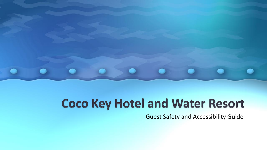

# **Coco Key Hotel and Water Resort**

Guest Safety and Accessibility Guide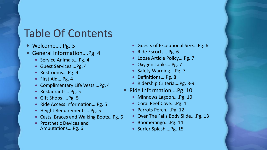#### Table Of Contents

- Welcome.....Pg. 3
- General Information….Pg. 4
	- Service Animals....Pg. 4
	- Guest Services….Pg. 4
	- Restrooms....Pg. 4
	- First Aid....Pg. 4
	- Complimentary Life Vests….Pg. 4
	- Restaurants....Pg. 5
	- Gift Shops ....Pg. 5
	- Ride Access Information....Pg. 5
	- Height Requirements....Pg. 5
	- Casts, Braces and Walking Boots…Pg. 6
	- Prosthetic Devices and Amputations….Pg. 6
- Guests of Exceptional Size….Pg. 6
- Ride Escorts....Pg. 6
- Loose Article Policy....Pg. 7
- Oxygen Tanks….Pg. 7
- Safety Warning....Pg. 7
- Definitions....Pg. 8
- Ridership Criteria....Pg. 8-9
- Ride Information....Pg. 10
	- Minnows Lagoon….Pg. 10
	- Coral Reef Cove….Pg. 11
	- Parrots Perch....Pg. 12
	- Over The Falls Body Slide....Pg. 13
	- Boomerango....Pg. 14
	- Surfer Splash....Pg. 15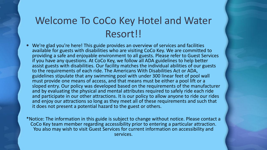#### Welcome To CoCo Key Hotel and Water Resort!!

 We're glad you're here! This guide provides an overview of services and facilities available for guests with disabilities who are visiting CoCo Key. We are committed to providing a safe and enjoyable environment to all guests. Please refer to Guest Services if you have any questions. At CoCo Key, we follow all ADA guidelines to help better assist guests with disabilities. Our facility matches the individual abilities of our guests to the requirements of each ride. The Americans With Disabilities Act or ADA, guidelines stipulate that any swimming pool with under 300 linear feet of pool wall must provide one means of access, and that means must be either a pool lift or a sloped entry. Our policy was developed based on the requirements of the manufacturer and by evaluating the physical and mental attributes required to safely ride each ride and participate in our other attractions. It is our policy to allow anyone to ride our rides and enjoy our attractions so long as they meet all of these requirements and such that it does not present a potential hazard to the guest or others.

\*Notice: The information in this guide is subject to change without notice. Please contact a CoCo Key team member regarding accessibility prior to entering a particular attraction. You also may wish to visit Guest Services for current information on accessibility and services.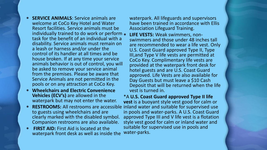- **SERVICE ANIMALS**: Service animals are welcome at CoCo Key Hotel and Water Resort facilities. Service animals must be individually trained to do work or perform . task for the benefit of an individual with a disability. Service animals must remain on a leash or harness and/or under the control of its handler at all times and be house broken. If at any time your service animals behavior is out of control, you will be asked to remove your service animal from the premises. Please be aware that Service Animals are not permitted in the pools or on any attraction at CoCo Key.
- **Wheelchairs and Electric Convenience Vehicles (ECV's)** are allowed in the waterpark but may not enter the water.
- **RESTROOMS:** All restrooms are accessible to guests using wheelchairs and are clearly marked with the disabled symbol. Companion restrooms are also available.
- **FIRST AID:** First Aid is located at the waterpark front desk as well as inside the

waterpark. All lifeguards and supervisors have been trained in accordance with Ellis Association Lifeguard Training.

 **LIFE VESTS:** Weak swimmers, nonswimmers and those under 48 inches tall are recommended to wear a life vest. Only U.S. Coast Guard approved Type II, Type III,and Type V life vests are permitted at CoCo Key. Complimentary life vests are provided at the waterpark front desk for hotel guests and are U.S. Coast Guard approved. Life Vests are also available for Day Guests but must leave a \$10 Cash Deposit that will be returned when the life vest is turned in.

\*A **U.S. Coast Guard approved Type II life vest** is a buoyant style vest good for calm or inland water and suitable for supervised use in pools and water-parks. A U.S. Coast Guard approved Type III and V life vest is a flotation style vest good for calm or inland water and suitable for supervised use in pools and water-parks.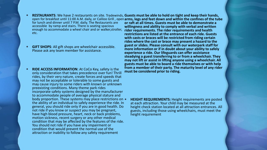- **RESTAURANTS**: We have 2 restaurants on site. Tradewinds, Guests must be able to hold on tight and keep their hands, open for breakfast until 11:00 A.M. daily, or Caliloo Grill , open **arms, legs and feet down and within the confines of the tube**  for lunch and dinner until 7 P.M. daily. The Restaurants are accessible by ramp and stairs. There is seating spacious enough to accommodate a wheel chair and or walker,stroller, etc. **or raft at all times. Guests must be able to demonstrate a willingness and ability to comply with verbal and written rider requirements. The rider requirements and health**
- **GIFT SHOPS**: All gift shops are wheelchair accessible. Please ask any team member for assistance.
- **RIDE ACCESS INFORMATION:** At CoCo Key, safety is the only consideration that takes precedence over fun! Thrill rides, by their very nature, create forces and speeds that may not be acceptable or tolerable to some guests and may cause injury to some riders with known or unknown preexisting conditions. Many theme park rides incorporate safety systems designed by the manufacturer to accommodate people of average physical stature and body proportion. These systems may place restrictions on  $\bullet$ the ability of an individual to safely experience the ride. In general, you should ride only if you are in good health. Do not ride if you know or suspect you may be pregnant, have high blood pressure, heart, neck or back problems, motion sickness, recent surgery or any other medical condition that may be affected by the features of the ride. You should not ride if you have any impairment or condition that would prevent the normal use of the attraction or inability to follow any safety requirement

**restrictions are listed at the entrance of each ride. Guests with casts or braces will be restricted from riding certain rides where the cast or brace may present a hazard to the guest or slides. Please consult with our waterpark staff for more information or if in doubt about your ability to safely experience a ride. Our lifeguards can offer assistance steadying a guest transferring to or from a wheelchair. They may not lift or assist in lifting anyone using a wheelchair. All guests must be able to board a ride themselves or with help from a member of their party. The maturity level of any rider must be considered prior to riding.**

 **HEIGHT REQUIREMENTS:** Height requirements are posted at each attraction. Your child may be measured at the height check station located at all attraction entrances. All guests, including those using wheelchairs, must meet the height requirement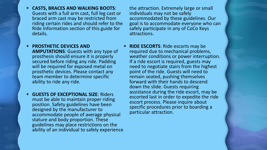**CASTS, BRACES AND WALKING BOOTS**: Guests with a full arm cast, full leg cast or braced arm cast may be restricted from riding certain rides and should refer to the Ride Information section of this guide for details.

**• PROSTHETIC DEVICES AND AMPUTATIONS**: Guests with any type of prosthesis should ensure it is properly secured before riding any ride. Padding will be required for exposed metal on prosthetic devices. Please contact any team member to determine specific ability to ride any ride.

 **GUESTS OF EXCEPTIONAL SIZE**: Riders must be able to maintain proper riding position. Safety guidelines have been designed by the manufacturer to accommodate people of average physical stature and body proportion. These guidelines may place restrictions on the ability of an individual to safely experience the attraction. Extremely large or small individuals may not be safely accommodated by these guidelines. Our goal is to accommodate everyone who can safely participate in any of CoCo Keys attractions.

**RIDE ESCORTS:** Ride escorts may be required due to mechanical problems, weather conditions or power interruption. If a ride escort is required, guests may need to negotiate stairs from the highest point of the ride. Guests will need to remain seated, pushing themselves forward with their hands to descend down the slide. Guests requiring assistance during the ride escort, may be escorted last in order to expedite the ride escort process. Please inquire about specific procedures prior to boarding a particular attraction.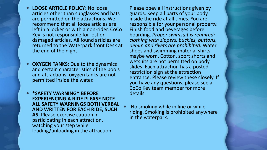- **LOOSE ARTICLE POLICY**: No loose articles other than sunglasses and hats are permitted on the attractions. We recommend that all loose articles are left in a locker or with a non-rider. CoCo Key is not responsible for lost or damaged articles. All found articles are returned to the Waterpark front Desk at the end of the night.
- **OXYGEN TANKS:** Due to the dynamics and certain characteristics of the pools and attractions, oxygen tanks are not permitted inside the water.
- **\*SAFETY WARNING\* BEFORE EXPERIENCING A RIDE PLEASE NOTE ALL SAFETY WARNINGS BOTH VERBAL AND WRITTEN FOR EACH RIDE, SUCH AS**: Please exercise caution in participating in each attraction, watching your step while loading/unloading in the attraction.

Please obey all instructions given by guards. Keep all parts of your body inside the ride at all times. You are responsible for your personal property. Finish food and beverages before boarding. *Proper swimsuit is required; clothing with zippers, buckles, buttons, denim and rivets are prohibited.* Water shoes and swimming material shirts maybe worn. Cotton, sport shorts and wetsuits are not permitted on body slides. Each attraction has a posted restriction sign at the attraction entrance. Please review these closely. If you have any questions, please see a CoCo Key team member for more details.

 No smoking while in line or while riding. Smoking is prohibited anywhere in the waterpark.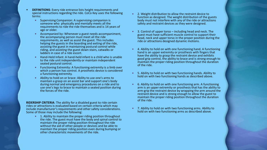- **DEFINITIONS**: Every ride entrance lists height requirements and special instructions regarding the ride. CoCo Key uses the following terms:
	- Supervising Companion: A supervising companion is someone who physically and mentally meets all the requirements to ride the ride themselves and is 14 years of age or older.
	- Accompanied by: Whenever a guest needs accompaniment, the accompanying person must meet all the ride requirements, as well as assist the guest. This includes helping the guests in the boarding and exiting of the ride, assisting the guest in maintaining postural control while riding, and assisting the guest down stairs, catwalks or ladders in case of a ride escort.
	- Hand-Held Infant: A hand-held infant is a child who is unable to the ride unit independently or maintain independent seated postural control.
	- Functioning Extremity: A functioning extremity is a limb over which a person has control. A prosthetic device is considered a functioning extremity.
	- Ability to hold on or brace: Ability to use one's arms to maintain a grasp on an assist bar and support one's body during normal and emergency procedures on a ride and to use one's legs to brace to maintain a seated position during the forces of the ride.

**RIDERSHIP CRITERIA**: The ability for a disabled guest to ride certain rides or attractions is evaluated based on certain criteria which may include manufacturer's requirements and other safety considerations. Some of those may include the following:

 1. Ability to maintain the proper riding position throughout the ride. The guest must have the body and spinal control to maintain the proper riding position throughout the ride without the aid of other people or devices and be able to maintain the proper riding position even during bumping or other characteristic movements of the ride.

- 2. Weight distribution to allow the restraint device to function as designed. The weight distribution of the guests body must not interfere with any of the ride or attractions safety and restraint devices as they were designed.
- 3. Control of upper torso including head and neck. The guest must have sufficient muscle control to support their head, neck and upper torso in the proper position during the ride or attractions designed dynamic motions.
- 4. Ability to hold on with one functioning hand. A functioning hand is an upper extremity or prosthesis with fingers that have the ability to grasp the restraint device and exhibits good grip control, the ability to brace and is strong enough to maintain the proper riding position throughout the duration of the ride.
- 5. Ability to hold on with two functioning hands. Ability to hold on with two functioning hands as described above.
- 6. Ability to hold on with one functioning arm. A functioning arm is an upper extremity or prosthesis that has the ability to arm-grip the restraint device by wrapping the arm around the restraint device and is strong enough to allow the guest to maintain the proper riding position throughout the duration of the ride.
- 7. Ability to hold on with two functioning arms. Ability to hold on with two functioning arms as described above.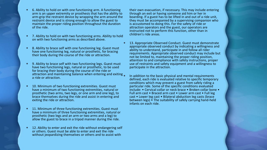- 6. Ability to hold on with one functioning arm. A functioning arm is an upper extremity or prosthesis that has the ability to arm-grip the restraint device by wrapping the arm around the restraint device and is strong enough to allow the guest to maintain the proper riding position throughout the duration of the ride.
- 7. Ability to hold on with two functioning arms. Ability to hold on with two functioning arms as described above.
- 8. Ability to brace self with one functioning leg. Guest must have one functioning leg, natural or prosthetic, for bracing their body during the course of the ride or attraction.
- 9. Ability to brace self with two functioning legs. Guest must have two functioning legs, natural or prosthetic, to be used for bracing their body during the course of the ride or attraction and maintaining balance when entering and exiting a ride or attraction.
- 10. Minimum of two functioning extremities. Guest must have a minimum of two functioning extremities, natural or prosthetic (two arms, two legs, or one arm and one leg), to brace themselves during the ride and assist in entering and exiting the ride or attraction.
- 11. Minimum of three functioning extremities. Guest must have a minimum of three functioning extremities, natural or prosthetic (two legs and an arm or two arms and a leg) to allow the guest to brace in a tripod manner during the ride.
- 12. Ability to enter and exit the ride without endangering self or others. Guest must be able to enter and exit the ride without jeopardizing themselves or others and to assist with

their own evacuation, if necessary. This may include entering through an exit or having someone aid him or her in boarding. If a guest has to be lifted in and out of a ride unit, they must be accompanied by a supervising companion who is accustomed to doing this. For the safety of ride or attraction operators and the guest, our operators are instructed not to perform this function, other than in children's ride areas.

 13. Appropriate Observed Conduct. Guest must demonstrate appropriate observed conduct by indicating a willingness and ability to understand, participate in and follow all rider requirements. Appropriate observed conduct may include but not be limited to, maintaining the proper riding position, attention to and compliance with safety instructions, proper use of restraints and safety equipment and a willingness to participate in the attraction.

 In addition to the basic physical and mental requirements defined, each ride is evaluated relative to specific temporary conditions which may prevent a guest from safely riding a particular ride. Some of the specific conditions evaluated include: • Cervical collar or neck brace • Broken collar bone • Full arm cast • Braced arm cast • Lower arm cast • Full leg cast • Lower leg cast • Bilateral abduction leg casts (brace between legs) • The suitability of safely carrying hand-held infants on each ride.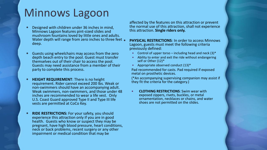# Minnows Lagoon

- Designed with children under 36 inches in mind, Minnows Lagoon features pint-sized slides and mushroom fountains loved by little ones and adults. Water depth will range from zero inches to three feet . deep.
- Guests using wheelchairs may access from the zero depth beach entry to the pool. Guest must transfer themselves out of their chair to access the pool. Guests may need assistance from a member of their party to complete this process.
- **HEIGHT REQUIREMENT:** There is no height requirement. Rider cannot exceed 200 lbs. Weak or non-swimmers should have an accompanying adult. Weak swimmers, non-swimmers, and those under 48 inches are recommended to wear a life vest. Only U.S. Coast Guard approved Type II and Type III life vests are permitted at CoCo Key.
- **RIDE RESTRICTIONS:** For your safety, you should experience this attraction only if you are in good health. Guests who know or suspect they may be pregnant, have high blood pressure, heart conditions, neck or back problems, recent surgery or any other impairment or medical condition that may be

affected by the features on this attraction or prevent the normal use of this attraction, shall not experience this attraction. **Single riders only.**

**PHYSICAL RESTRICTIONS:** In order to access Minnows Lagoon, guests must meet the following criteria previously defined:

- Control of upper torso including head and neck  $(3)^*$
- Ability to enter and exit the ride without endangering self or Other (12)\*
- Appropriate observed conduct  $(13)^*$ Pad recommended for casts. Pad required if exposed metal on prosthetic devices.

(\*An accompanying supervising companion may assist if they fit the criteria for the category.)

 **CLOTHING RESTRICTIONS**: Swim wear with exposed zippers, rivets, buckles, or metal ornamentation, necklaces or chains, and water shoes are not permitted on the slides.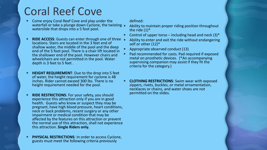# Coral Reef Cove

- Come enjoy Coral Reef Cove and play under the waterfall or take a plunge down Cyclone, the twisting  $\bullet$ waterslide that drops into a 5 foot pool.
- **RIDE ACCESS:** Guests can enter through one of three locations. Stairs are located in the 3 feet end of shallow water, the middle of the pool and the deep end of the 5 foot pool. There is a chair lift located in the shallower end of the pool. However chairs and wheelchairs are not permitted in the pool. Water depth is 3 feet to 5 feet .
- **HEIGHT REQUIREMENT**: Due to the drop into 5 feet of water, the height requirement for cyclone is 48 inches. Rider cannot exceed 300 lbs. There is no height requirement needed for the pool.
- **RIDE RESTRICTIONS:** For your safety, you should experience this attraction only if you are in good health. Guests who know or suspect they may be pregnant, have high blood pressure, heart conditions, neck or back problems, recent surgery or any other impairment or medical condition that may be affected by the features on this attraction or prevent the normal use of this attraction, shall not experience this attraction. **Single Riders only.**
- **PHYSICAL RESTRICTIONS**: In order to access Cyclone, guests must meet the following criteria previously

defined:

- Ability to maintain proper riding position throughout the ride  $(1)^*$
- Control of upper torso including head and neck  $(3)^*$
- Ability to enter and exit the ride without endangering self or other (12)\*
- Appropriate observed conduct (13)
- Pad recommended for casts. Pad required if exposed metal on prosthetic devices. (\*An accompanying supervising companion may assist if they fit the criteria for the category.)
- **CLOTHING RESTRICTIONS**: Swim wear with exposed zippers, rivets, buckles, or metal ornamentation, necklaces or chains, and water shoes are not permitted on the slides.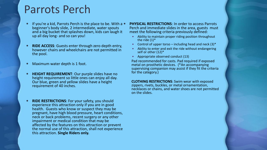### Parrots Perch

- **If you're a kid, Parrots Perch is the place to be. With a** beginner's body slide, 2 intermediate, water spouts and a big bucket that splashes down, kids can laugh it up all day long- and so can you!
- **RIDE ACCESS**: Guests enter through zero depth entry, however chairs and wheelchairs are not permitted in the pool.
- Maximum water depth is 1 foot.
- **HEIGHT REQUIREMENT**: Our purple slides have no height requirement so little ones can enjoy all day. Our blue, green and yellow slides have a height requirement of 40 inches.
- **RIDE RESTRICTIONS:** For your safety, you should experience this attraction only if you are in good health. Guests who know or suspect they may be pregnant, have high blood pressure, heart conditions, neck or back problems, recent surgery or any other impairment or medical condition that may be affected by the features on this attraction or prevent the normal use of this attraction, shall not experience this attraction. **Single Riders only.**
- **PHYSICAL RESTRICTIONS**: In order to access Parrots Perch and immediate slides in the area, guests must meet the following criteria previously defined:
	- Ability to maintain proper riding position throughout the ride  $(1)^*$
	- Control of upper torso including head and neck  $(3)^*$
	- Ability to enter and exit the ride without endangering self or other (12)\*
	- Appropriate observed conduct (13)

Pad recommended for casts. Pad required if exposed metal on prosthetic devices. (\*An accompanying supervising companion may assist if they fit the criteria for the category.)

**CLOTHING RESTRICTIONS**: Swim wear with exposed zippers, rivets, buckles, or metal ornamentation, necklaces or chains, and water shoes are not permitted on the slides.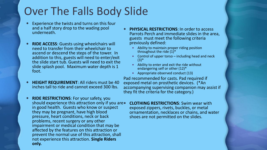# Over The Falls Body Slide

- Experience the twists and turns on this four and a half story drop to the wading pool underneath.
- **RIDE ACCESS**: Guests using wheelchairs will need to transfer from their wheelchair to ascend or descend the steps of the tower. In addition to this, guests will need to enter/exit the slide start tub. Guests will need to exit the slide splash pool. Maximum water depth is 1 foot.
- **HEIGHT REQUIREMENT**: All riders must be 40 inches tall to ride and cannot exceed 300 lbs.
- **RIDE RESTRICTIONS**: For your safety, you should experience this attraction only if you are • in good health. Guests who know or suspect they may be pregnant, have high blood pressure, heart conditions, neck or back problems, recent surgery or any other impairment or medical condition that may be affected by the features on this attraction or prevent the normal use of this attraction, shall not experience this attraction. **Single Riders only.**
- **PHYSICAL RESTRICTIONS:** In order to access Parrots Perch and immediate slides in the area, guests must meet the following criteria previously defined:
	- Ability to maintain proper riding position throughout the ride  $(1)^*$
	- Control of upper torso including head and neck  $(3)^*$
	- Ability to enter and exit the ride without endangering self or other (12)\*
	- Appropriate observed conduct (13)

Pad recommended for casts. Pad required if exposed metal on prosthetic devices. (\*An accompanying supervising companion may assist if they fit the criteria for the category.)

 **CLOTHING RESTRICTIONS**: Swim wear with exposed zippers, rivets, buckles, or metal ornamentation, necklaces or chains, and water shoes are not permitted on the slides.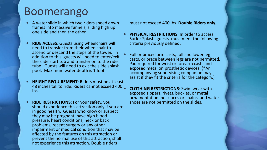### Boomerango

- A water slide in which two riders speed down flumes into massive funnels, sliding high up one side and then the other.
- **RIDE ACCESS**: Guests using wheelchairs will need to transfer from their wheelchair to ascend or descend the steps of the tower. In addition to this, guests will need to enter/exit the slide start tub and transfer on to the ride tube. Guests will need to exit the slide splash pool. Maximum water depth is 1 foot.
- **HEIGHT REQUIREMENT**: Riders must be at least 48 inches tall to ride. Riders cannot exceed 400 lbs.
- **RIDE RESTRICTIONS:** For your safety, you should experience this attraction only if you are in good health. Guests who know or suspect they may be pregnant, have high blood pressure, heart conditions, neck or back problems, recent surgery or any other impairment or medical condition that may be affected by the features on this attraction or prevent the normal use of this attraction, shall not experience this attraction. Double riders

must not exceed 400 lbs. **Double Riders only.**

- **PHYSICAL RESTRICTIONS**: In order to access Surfer Splash, guests must meet the following criteria previously defined:
- Full or braced arm casts, full and lower leg casts, or brace between legs are not permitted. Pad required for wrist or forearm casts and exposed metal on prosthetic devices. (\*An accompanying supervising companion may assist if they fit the criteria for the category.)
	- **CLOTHING RESTRICTIONS**: Swim wear with exposed zippers, rivets, buckles, or metal ornamentation, necklaces or chains, and water shoes are not permitted on the slides.